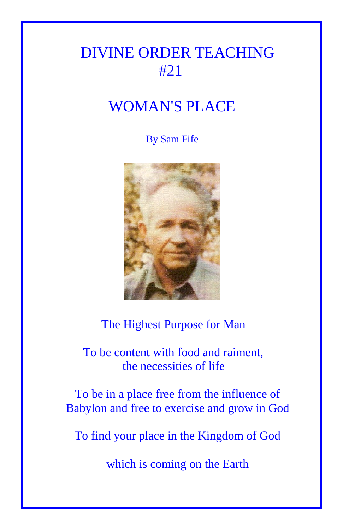# DIVINE ORDER TEACHING #21

# WOMAN'S PLACE

## By Sam Fife



# The Highest Purpose for Man

# To be content with food and raiment, the necessities of life

To be in a place free from the influence of Babylon and free to exercise and grow in God

To find your place in the Kingdom of God

which is coming on the Earth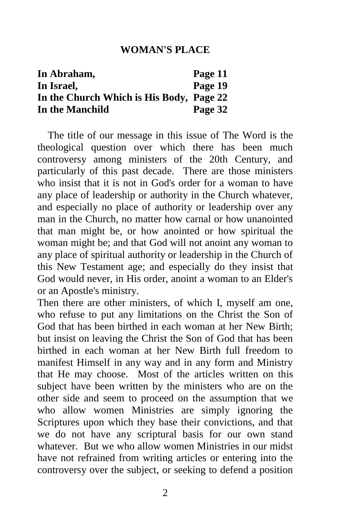#### **WOMAN'S PLACE**

| In Abraham,                              | Page 11 |
|------------------------------------------|---------|
| In Israel,                               | Page 19 |
| In the Church Which is His Body, Page 22 |         |
| In the Manchild                          | Page 32 |

 The title of our message in this issue of The Word is the theological question over which there has been much controversy among ministers of the 20th Century, and particularly of this past decade. There are those ministers who insist that it is not in God's order for a woman to have any place of leadership or authority in the Church whatever, and especially no place of authority or leadership over any man in the Church, no matter how carnal or how unanointed that man might be, or how anointed or how spiritual the woman might be; and that God will not anoint any woman to any place of spiritual authority or leadership in the Church of this New Testament age; and especially do they insist that God would never, in His order, anoint a woman to an Elder's or an Apostle's ministry.

Then there are other ministers, of which I, myself am one, who refuse to put any limitations on the Christ the Son of God that has been birthed in each woman at her New Birth; but insist on leaving the Christ the Son of God that has been birthed in each woman at her New Birth full freedom to manifest Himself in any way and in any form and Ministry that He may choose. Most of the articles written on this subject have been written by the ministers who are on the other side and seem to proceed on the assumption that we who allow women Ministries are simply ignoring the Scriptures upon which they base their convictions, and that we do not have any scriptural basis for our own stand whatever. But we who allow women Ministries in our midst have not refrained from writing articles or entering into the controversy over the subject, or seeking to defend a position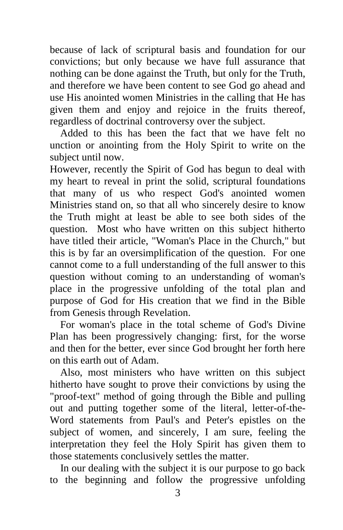because of lack of scriptural basis and foundation for our convictions; but only because we have full assurance that nothing can be done against the Truth, but only for the Truth, and therefore we have been content to see God go ahead and use His anointed women Ministries in the calling that He has given them and enjoy and rejoice in the fruits thereof, regardless of doctrinal controversy over the subject.

 Added to this has been the fact that we have felt no unction or anointing from the Holy Spirit to write on the subject until now.

However, recently the Spirit of God has begun to deal with my heart to reveal in print the solid, scriptural foundations that many of us who respect God's anointed women Ministries stand on, so that all who sincerely desire to know the Truth might at least be able to see both sides of the question. Most who have written on this subject hitherto have titled their article, "Woman's Place in the Church," but this is by far an oversimplification of the question. For one cannot come to a full understanding of the full answer to this question without coming to an understanding of woman's place in the progressive unfolding of the total plan and purpose of God for His creation that we find in the Bible from Genesis through Revelation.

 For woman's place in the total scheme of God's Divine Plan has been progressively changing: first, for the worse and then for the better, ever since God brought her forth here on this earth out of Adam.

 Also, most ministers who have written on this subject hitherto have sought to prove their convictions by using the "proof-text" method of going through the Bible and pulling out and putting together some of the literal, letter-of-the-Word statements from Paul's and Peter's epistles on the subject of women, and sincerely, I am sure, feeling the interpretation they feel the Holy Spirit has given them to those statements conclusively settles the matter.

 In our dealing with the subject it is our purpose to go back to the beginning and follow the progressive unfolding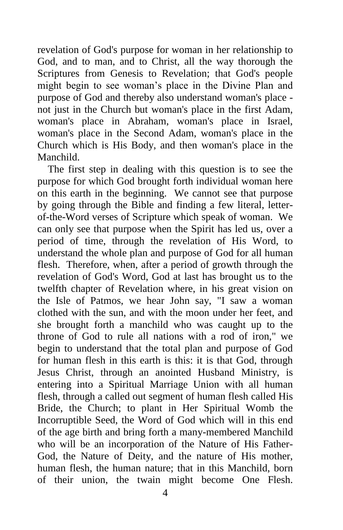revelation of God's purpose for woman in her relationship to God, and to man, and to Christ, all the way thorough the Scriptures from Genesis to Revelation; that God's people might begin to see woman's place in the Divine Plan and purpose of God and thereby also understand woman's place not just in the Church but woman's place in the first Adam, woman's place in Abraham, woman's place in Israel, woman's place in the Second Adam, woman's place in the Church which is His Body, and then woman's place in the Manchild.

 The first step in dealing with this question is to see the purpose for which God brought forth individual woman here on this earth in the beginning. We cannot see that purpose by going through the Bible and finding a few literal, letterof-the-Word verses of Scripture which speak of woman. We can only see that purpose when the Spirit has led us, over a period of time, through the revelation of His Word, to understand the whole plan and purpose of God for all human flesh. Therefore, when, after a period of growth through the revelation of God's Word, God at last has brought us to the twelfth chapter of Revelation where, in his great vision on the Isle of Patmos, we hear John say, "I saw a woman clothed with the sun, and with the moon under her feet, and she brought forth a manchild who was caught up to the throne of God to rule all nations with a rod of iron," we begin to understand that the total plan and purpose of God for human flesh in this earth is this: it is that God, through Jesus Christ, through an anointed Husband Ministry, is entering into a Spiritual Marriage Union with all human flesh, through a called out segment of human flesh called His Bride, the Church; to plant in Her Spiritual Womb the Incorruptible Seed, the Word of God which will in this end of the age birth and bring forth a many-membered Manchild who will be an incorporation of the Nature of His Father-God, the Nature of Deity, and the nature of His mother, human flesh, the human nature; that in this Manchild, born of their union, the twain might become One Flesh.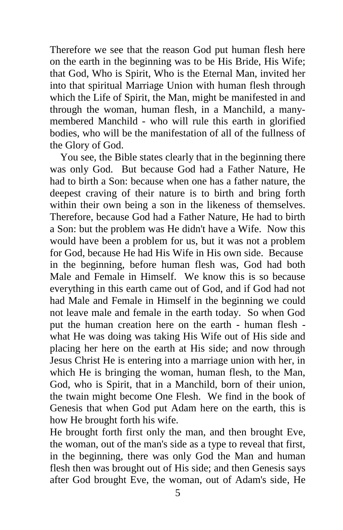Therefore we see that the reason God put human flesh here on the earth in the beginning was to be His Bride, His Wife; that God, Who is Spirit, Who is the Eternal Man, invited her into that spiritual Marriage Union with human flesh through which the Life of Spirit, the Man, might be manifested in and through the woman, human flesh, in a Manchild, a manymembered Manchild - who will rule this earth in glorified bodies, who will be the manifestation of all of the fullness of the Glory of God.

 You see, the Bible states clearly that in the beginning there was only God. But because God had a Father Nature, He had to birth a Son: because when one has a father nature, the deepest craving of their nature is to birth and bring forth within their own being a son in the likeness of themselves. Therefore, because God had a Father Nature, He had to birth a Son: but the problem was He didn't have a Wife. Now this would have been a problem for us, but it was not a problem for God, because He had His Wife in His own side. Because in the beginning, before human flesh was, God had both Male and Female in Himself. We know this is so because everything in this earth came out of God, and if God had not had Male and Female in Himself in the beginning we could not leave male and female in the earth today. So when God put the human creation here on the earth - human flesh what He was doing was taking His Wife out of His side and placing her here on the earth at His side; and now through Jesus Christ He is entering into a marriage union with her, in which He is bringing the woman, human flesh, to the Man, God, who is Spirit, that in a Manchild, born of their union, the twain might become One Flesh. We find in the book of Genesis that when God put Adam here on the earth, this is how He brought forth his wife.

He brought forth first only the man, and then brought Eve, the woman, out of the man's side as a type to reveal that first, in the beginning, there was only God the Man and human flesh then was brought out of His side; and then Genesis says after God brought Eve, the woman, out of Adam's side, He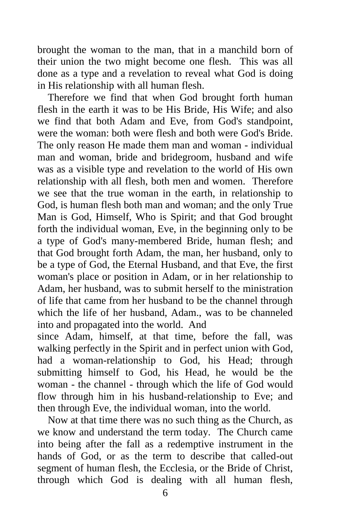brought the woman to the man, that in a manchild born of their union the two might become one flesh. This was all done as a type and a revelation to reveal what God is doing in His relationship with all human flesh.

 Therefore we find that when God brought forth human flesh in the earth it was to be His Bride, His Wife; and also we find that both Adam and Eve, from God's standpoint, were the woman: both were flesh and both were God's Bride. The only reason He made them man and woman - individual man and woman, bride and bridegroom, husband and wife was as a visible type and revelation to the world of His own relationship with all flesh, both men and women. Therefore we see that the true woman in the earth, in relationship to God, is human flesh both man and woman; and the only True Man is God, Himself, Who is Spirit; and that God brought forth the individual woman, Eve, in the beginning only to be a type of God's many-membered Bride, human flesh; and that God brought forth Adam, the man, her husband, only to be a type of God, the Eternal Husband, and that Eve, the first woman's place or position in Adam, or in her relationship to Adam, her husband, was to submit herself to the ministration of life that came from her husband to be the channel through which the life of her husband, Adam., was to be channeled into and propagated into the world. And

since Adam, himself, at that time, before the fall, was walking perfectly in the Spirit and in perfect union with God, had a woman-relationship to God, his Head; through submitting himself to God, his Head, he would be the woman - the channel - through which the life of God would flow through him in his husband-relationship to Eve; and then through Eve, the individual woman, into the world.

 Now at that time there was no such thing as the Church, as we know and understand the term today. The Church came into being after the fall as a redemptive instrument in the hands of God, or as the term to describe that called-out segment of human flesh, the Ecclesia, or the Bride of Christ, through which God is dealing with all human flesh,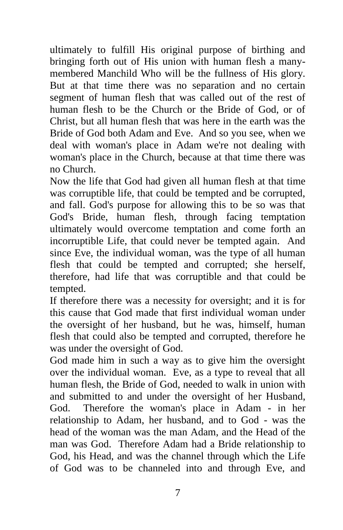ultimately to fulfill His original purpose of birthing and bringing forth out of His union with human flesh a manymembered Manchild Who will be the fullness of His glory. But at that time there was no separation and no certain segment of human flesh that was called out of the rest of human flesh to be the Church or the Bride of God, or of Christ, but all human flesh that was here in the earth was the Bride of God both Adam and Eve. And so you see, when we deal with woman's place in Adam we're not dealing with woman's place in the Church, because at that time there was no Church.

Now the life that God had given all human flesh at that time was corruptible life, that could be tempted and be corrupted, and fall. God's purpose for allowing this to be so was that God's Bride, human flesh, through facing temptation ultimately would overcome temptation and come forth an incorruptible Life, that could never be tempted again. And since Eve, the individual woman, was the type of all human flesh that could be tempted and corrupted; she herself, therefore, had life that was corruptible and that could be tempted.

If therefore there was a necessity for oversight; and it is for this cause that God made that first individual woman under the oversight of her husband, but he was, himself, human flesh that could also be tempted and corrupted, therefore he was under the oversight of God.

God made him in such a way as to give him the oversight over the individual woman. Eve, as a type to reveal that all human flesh, the Bride of God, needed to walk in union with and submitted to and under the oversight of her Husband, God. Therefore the woman's place in Adam - in her relationship to Adam, her husband, and to God - was the head of the woman was the man Adam, and the Head of the man was God. Therefore Adam had a Bride relationship to God, his Head, and was the channel through which the Life of God was to be channeled into and through Eve, and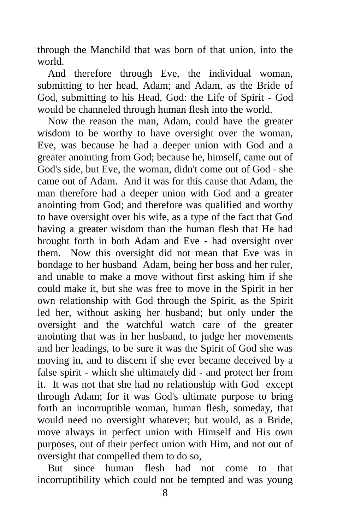through the Manchild that was born of that union, into the world.

 And therefore through Eve, the individual woman, submitting to her head, Adam; and Adam, as the Bride of God, submitting to his Head, God: the Life of Spirit - God would be channeled through human flesh into the world.

 Now the reason the man, Adam, could have the greater wisdom to be worthy to have oversight over the woman, Eve, was because he had a deeper union with God and a greater anointing from God; because he, himself, came out of God's side, but Eve, the woman, didn't come out of God - she came out of Adam. And it was for this cause that Adam, the man therefore had a deeper union with God and a greater anointing from God; and therefore was qualified and worthy to have oversight over his wife, as a type of the fact that God having a greater wisdom than the human flesh that He had brought forth in both Adam and Eve - had oversight over them. Now this oversight did not mean that Eve was in bondage to her husband Adam, being her boss and her ruler, and unable to make a move without first asking him if she could make it, but she was free to move in the Spirit in her own relationship with God through the Spirit, as the Spirit led her, without asking her husband; but only under the oversight and the watchful watch care of the greater anointing that was in her husband, to judge her movements and her leadings, to be sure it was the Spirit of God she was moving in, and to discern if she ever became deceived by a false spirit - which she ultimately did - and protect her from it. It was not that she had no relationship with God except through Adam; for it was God's ultimate purpose to bring forth an incorruptible woman, human flesh, someday, that would need no oversight whatever; but would, as a Bride, move always in perfect union with Himself and His own purposes, out of their perfect union with Him, and not out of oversight that compelled them to do so,

 But since human flesh had not come to that incorruptibility which could not be tempted and was young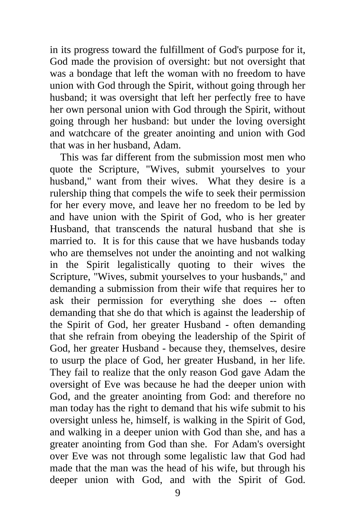in its progress toward the fulfillment of God's purpose for it, God made the provision of oversight: but not oversight that was a bondage that left the woman with no freedom to have union with God through the Spirit, without going through her husband; it was oversight that left her perfectly free to have her own personal union with God through the Spirit, without going through her husband: but under the loving oversight and watchcare of the greater anointing and union with God that was in her husband, Adam.

 This was far different from the submission most men who quote the Scripture, "Wives, submit yourselves to your husband," want from their wives. What they desire is a rulership thing that compels the wife to seek their permission for her every move, and leave her no freedom to be led by and have union with the Spirit of God, who is her greater Husband, that transcends the natural husband that she is married to. It is for this cause that we have husbands today who are themselves not under the anointing and not walking in the Spirit legalistically quoting to their wives the Scripture, "Wives, submit yourselves to your husbands," and demanding a submission from their wife that requires her to ask their permission for everything she does -- often demanding that she do that which is against the leadership of the Spirit of God, her greater Husband - often demanding that she refrain from obeying the leadership of the Spirit of God, her greater Husband - because they, themselves, desire to usurp the place of God, her greater Husband, in her life. They fail to realize that the only reason God gave Adam the oversight of Eve was because he had the deeper union with God, and the greater anointing from God: and therefore no man today has the right to demand that his wife submit to his oversight unless he, himself, is walking in the Spirit of God, and walking in a deeper union with God than she, and has a greater anointing from God than she. For Adam's oversight over Eve was not through some legalistic law that God had made that the man was the head of his wife, but through his deeper union with God, and with the Spirit of God.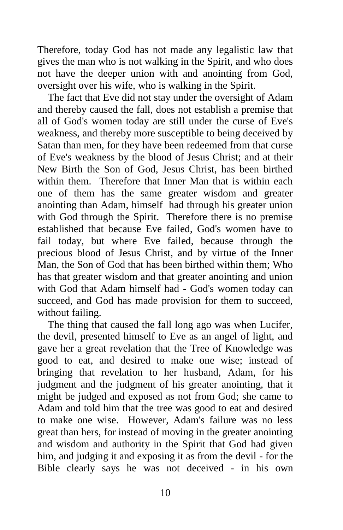Therefore, today God has not made any legalistic law that gives the man who is not walking in the Spirit, and who does not have the deeper union with and anointing from God, oversight over his wife, who is walking in the Spirit.

 The fact that Eve did not stay under the oversight of Adam and thereby caused the fall, does not establish a premise that all of God's women today are still under the curse of Eve's weakness, and thereby more susceptible to being deceived by Satan than men, for they have been redeemed from that curse of Eve's weakness by the blood of Jesus Christ; and at their New Birth the Son of God, Jesus Christ, has been birthed within them. Therefore that Inner Man that is within each one of them has the same greater wisdom and greater anointing than Adam, himself had through his greater union with God through the Spirit. Therefore there is no premise established that because Eve failed, God's women have to fail today, but where Eve failed, because through the precious blood of Jesus Christ, and by virtue of the Inner Man, the Son of God that has been birthed within them; Who has that greater wisdom and that greater anointing and union with God that Adam himself had - God's women today can succeed, and God has made provision for them to succeed, without failing.

 The thing that caused the fall long ago was when Lucifer, the devil, presented himself to Eve as an angel of light, and gave her a great revelation that the Tree of Knowledge was good to eat, and desired to make one wise; instead of bringing that revelation to her husband, Adam, for his judgment and the judgment of his greater anointing, that it might be judged and exposed as not from God; she came to Adam and told him that the tree was good to eat and desired to make one wise. However, Adam's failure was no less great than hers, for instead of moving in the greater anointing and wisdom and authority in the Spirit that God had given him, and judging it and exposing it as from the devil - for the Bible clearly says he was not deceived - in his own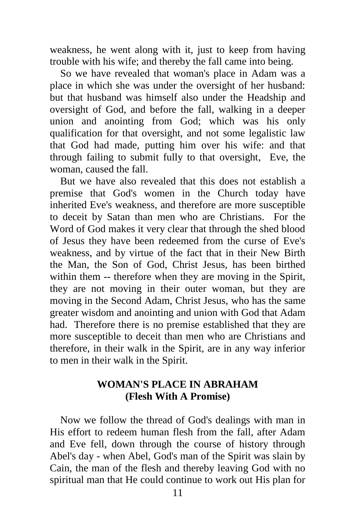weakness, he went along with it, just to keep from having trouble with his wife; and thereby the fall came into being.

 So we have revealed that woman's place in Adam was a place in which she was under the oversight of her husband: but that husband was himself also under the Headship and oversight of God, and before the fall, walking in a deeper union and anointing from God; which was his only qualification for that oversight, and not some legalistic law that God had made, putting him over his wife: and that through failing to submit fully to that oversight, Eve, the woman, caused the fall.

 But we have also revealed that this does not establish a premise that God's women in the Church today have inherited Eve's weakness, and therefore are more susceptible to deceit by Satan than men who are Christians. For the Word of God makes it very clear that through the shed blood of Jesus they have been redeemed from the curse of Eve's weakness, and by virtue of the fact that in their New Birth the Man, the Son of God, Christ Jesus, has been birthed within them -- therefore when they are moving in the Spirit, they are not moving in their outer woman, but they are moving in the Second Adam, Christ Jesus, who has the same greater wisdom and anointing and union with God that Adam had. Therefore there is no premise established that they are more susceptible to deceit than men who are Christians and therefore, in their walk in the Spirit, are in any way inferior to men in their walk in the Spirit.

## **WOMAN'S PLACE IN ABRAHAM (Flesh With A Promise)**

 Now we follow the thread of God's dealings with man in His effort to redeem human flesh from the fall, after Adam and Eve fell, down through the course of history through Abel's day - when Abel, God's man of the Spirit was slain by Cain, the man of the flesh and thereby leaving God with no spiritual man that He could continue to work out His plan for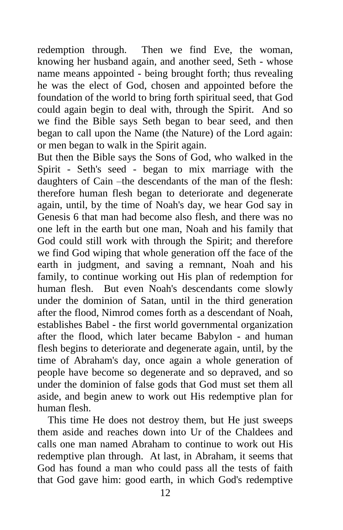redemption through. Then we find Eve, the woman, knowing her husband again, and another seed, Seth - whose name means appointed - being brought forth; thus revealing he was the elect of God, chosen and appointed before the foundation of the world to bring forth spiritual seed, that God could again begin to deal with, through the Spirit. And so we find the Bible says Seth began to bear seed, and then began to call upon the Name (the Nature) of the Lord again: or men began to walk in the Spirit again.

But then the Bible says the Sons of God, who walked in the Spirit - Seth's seed - began to mix marriage with the daughters of Cain –the descendants of the man of the flesh: therefore human flesh began to deteriorate and degenerate again, until, by the time of Noah's day, we hear God say in Genesis 6 that man had become also flesh, and there was no one left in the earth but one man, Noah and his family that God could still work with through the Spirit; and therefore we find God wiping that whole generation off the face of the earth in judgment, and saving a remnant, Noah and his family, to continue working out His plan of redemption for human flesh. But even Noah's descendants come slowly under the dominion of Satan, until in the third generation after the flood, Nimrod comes forth as a descendant of Noah, establishes Babel - the first world governmental organization after the flood, which later became Babylon - and human flesh begins to deteriorate and degenerate again, until, by the time of Abraham's day, once again a whole generation of people have become so degenerate and so depraved, and so under the dominion of false gods that God must set them all aside, and begin anew to work out His redemptive plan for human flesh.

 This time He does not destroy them, but He just sweeps them aside and reaches down into Ur of the Chaldees and calls one man named Abraham to continue to work out His redemptive plan through. At last, in Abraham, it seems that God has found a man who could pass all the tests of faith that God gave him: good earth, in which God's redemptive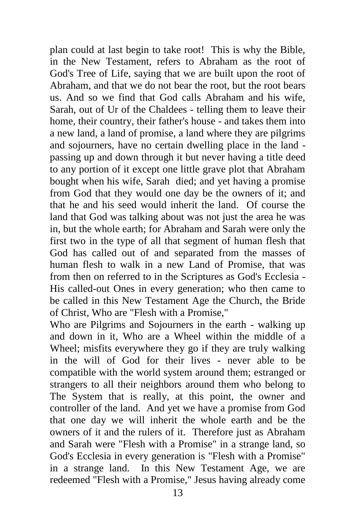plan could at last begin to take root! This is why the Bible, in the New Testament, refers to Abraham as the root of God's Tree of Life, saying that we are built upon the root of Abraham, and that we do not bear the root, but the root bears us. And so we find that God calls Abraham and his wife, Sarah, out of Ur of the Chaldees - telling them to leave their home, their country, their father's house - and takes them into a new land, a land of promise, a land where they are pilgrims and sojourners, have no certain dwelling place in the land passing up and down through it but never having a title deed to any portion of it except one little grave plot that Abraham bought when his wife, Sarah died; and yet having a promise from God that they would one day be the owners of it; and that he and his seed would inherit the land. Of course the land that God was talking about was not just the area he was in, but the whole earth; for Abraham and Sarah were only the first two in the type of all that segment of human flesh that God has called out of and separated from the masses of human flesh to walk in a new Land of Promise, that was from then on referred to in the Scriptures as God's Ecclesia - His called-out Ones in every generation; who then came to be called in this New Testament Age the Church, the Bride of Christ, Who are "Flesh with a Promise,"

Who are Pilgrims and Sojourners in the earth - walking up and down in it, Who are a Wheel within the middle of a Wheel; misfits everywhere they go if they are truly walking in the will of God for their lives - never able to be compatible with the world system around them; estranged or strangers to all their neighbors around them who belong to The System that is really, at this point, the owner and controller of the land. And yet we have a promise from God that one day we will inherit the whole earth and be the owners of it and the rulers of it. Therefore just as Abraham and Sarah were "Flesh with a Promise" in a strange land, so God's Ecclesia in every generation is "Flesh with a Promise" in a strange land. In this New Testament Age, we are redeemed "Flesh with a Promise," Jesus having already come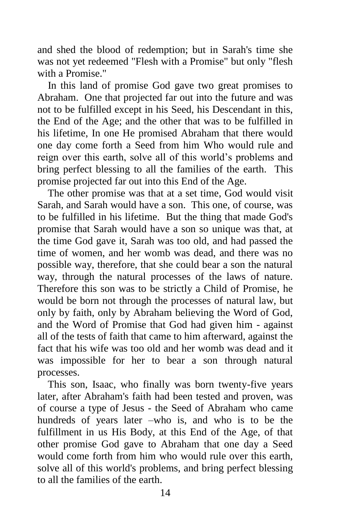and shed the blood of redemption; but in Sarah's time she was not yet redeemed "Flesh with a Promise" but only "flesh with a Promise."

 In this land of promise God gave two great promises to Abraham. One that projected far out into the future and was not to be fulfilled except in his Seed, his Descendant in this, the End of the Age; and the other that was to be fulfilled in his lifetime, In one He promised Abraham that there would one day come forth a Seed from him Who would rule and reign over this earth, solve all of this world's problems and bring perfect blessing to all the families of the earth. This promise projected far out into this End of the Age.

 The other promise was that at a set time, God would visit Sarah, and Sarah would have a son. This one, of course, was to be fulfilled in his lifetime. But the thing that made God's promise that Sarah would have a son so unique was that, at the time God gave it, Sarah was too old, and had passed the time of women, and her womb was dead, and there was no possible way, therefore, that she could bear a son the natural way, through the natural processes of the laws of nature. Therefore this son was to be strictly a Child of Promise, he would be born not through the processes of natural law, but only by faith, only by Abraham believing the Word of God, and the Word of Promise that God had given him - against all of the tests of faith that came to him afterward, against the fact that his wife was too old and her womb was dead and it was impossible for her to bear a son through natural processes.

 This son, Isaac, who finally was born twenty-five years later, after Abraham's faith had been tested and proven, was of course a type of Jesus - the Seed of Abraham who came hundreds of years later –who is, and who is to be the fulfillment in us His Body, at this End of the Age, of that other promise God gave to Abraham that one day a Seed would come forth from him who would rule over this earth, solve all of this world's problems, and bring perfect blessing to all the families of the earth.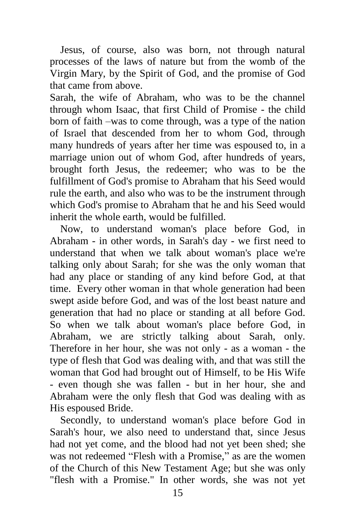Jesus, of course, also was born, not through natural processes of the laws of nature but from the womb of the Virgin Mary, by the Spirit of God, and the promise of God that came from above.

Sarah, the wife of Abraham, who was to be the channel through whom Isaac, that first Child of Promise - the child born of faith –was to come through, was a type of the nation of Israel that descended from her to whom God, through many hundreds of years after her time was espoused to, in a marriage union out of whom God, after hundreds of years, brought forth Jesus, the redeemer; who was to be the fulfillment of God's promise to Abraham that his Seed would rule the earth, and also who was to be the instrument through which God's promise to Abraham that he and his Seed would inherit the whole earth, would be fulfilled.

 Now, to understand woman's place before God, in Abraham - in other words, in Sarah's day - we first need to understand that when we talk about woman's place we're talking only about Sarah; for she was the only woman that had any place or standing of any kind before God, at that time. Every other woman in that whole generation had been swept aside before God, and was of the lost beast nature and generation that had no place or standing at all before God. So when we talk about woman's place before God, in Abraham, we are strictly talking about Sarah, only. Therefore in her hour, she was not only - as a woman - the type of flesh that God was dealing with, and that was still the woman that God had brought out of Himself, to be His Wife - even though she was fallen - but in her hour, she and Abraham were the only flesh that God was dealing with as His espoused Bride.

 Secondly, to understand woman's place before God in Sarah's hour, we also need to understand that, since Jesus had not yet come, and the blood had not yet been shed; she was not redeemed "Flesh with a Promise," as are the women of the Church of this New Testament Age; but she was only "flesh with a Promise." In other words, she was not yet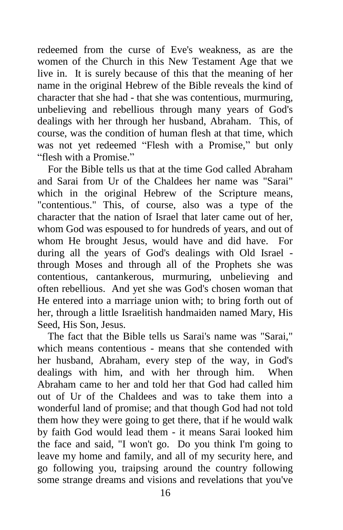redeemed from the curse of Eve's weakness, as are the women of the Church in this New Testament Age that we live in. It is surely because of this that the meaning of her name in the original Hebrew of the Bible reveals the kind of character that she had - that she was contentious, murmuring, unbelieving and rebellious through many years of God's dealings with her through her husband, Abraham. This, of course, was the condition of human flesh at that time, which was not yet redeemed "Flesh with a Promise," but only "flesh with a Promise."

 For the Bible tells us that at the time God called Abraham and Sarai from Ur of the Chaldees her name was "Sarai" which in the original Hebrew of the Scripture means, "contentious." This, of course, also was a type of the character that the nation of Israel that later came out of her, whom God was espoused to for hundreds of years, and out of whom He brought Jesus, would have and did have. For during all the years of God's dealings with Old Israel through Moses and through all of the Prophets she was contentious, cantankerous, murmuring, unbelieving and often rebellious. And yet she was God's chosen woman that He entered into a marriage union with; to bring forth out of her, through a little Israelitish handmaiden named Mary, His Seed, His Son, Jesus.

 The fact that the Bible tells us Sarai's name was "Sarai," which means contentious - means that she contended with her husband, Abraham, every step of the way, in God's dealings with him, and with her through him. When Abraham came to her and told her that God had called him out of Ur of the Chaldees and was to take them into a wonderful land of promise; and that though God had not told them how they were going to get there, that if he would walk by faith God would lead them - it means Sarai looked him the face and said, "I won't go. Do you think I'm going to leave my home and family, and all of my security here, and go following you, traipsing around the country following some strange dreams and visions and revelations that you've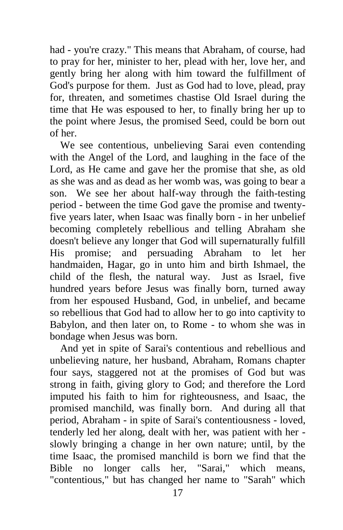had - you're crazy." This means that Abraham, of course, had to pray for her, minister to her, plead with her, love her, and gently bring her along with him toward the fulfillment of God's purpose for them. Just as God had to love, plead, pray for, threaten, and sometimes chastise Old Israel during the time that He was espoused to her, to finally bring her up to the point where Jesus, the promised Seed, could be born out of her.

 We see contentious, unbelieving Sarai even contending with the Angel of the Lord, and laughing in the face of the Lord, as He came and gave her the promise that she, as old as she was and as dead as her womb was, was going to bear a son. We see her about half-way through the faith-testing period - between the time God gave the promise and twentyfive years later, when Isaac was finally born - in her unbelief becoming completely rebellious and telling Abraham she doesn't believe any longer that God will supernaturally fulfill His promise; and persuading Abraham to let her handmaiden, Hagar, go in unto him and birth Ishmael, the child of the flesh, the natural way. Just as Israel, five hundred years before Jesus was finally born, turned away from her espoused Husband, God, in unbelief, and became so rebellious that God had to allow her to go into captivity to Babylon, and then later on, to Rome - to whom she was in bondage when Jesus was born.

 And yet in spite of Sarai's contentious and rebellious and unbelieving nature, her husband, Abraham, Romans chapter four says, staggered not at the promises of God but was strong in faith, giving glory to God; and therefore the Lord imputed his faith to him for righteousness, and Isaac, the promised manchild, was finally born. And during all that period, Abraham - in spite of Sarai's contentiousness - loved, tenderly led her along, dealt with her, was patient with her slowly bringing a change in her own nature; until, by the time Isaac, the promised manchild is born we find that the Bible no longer calls her, "Sarai," which means, "contentious," but has changed her name to "Sarah" which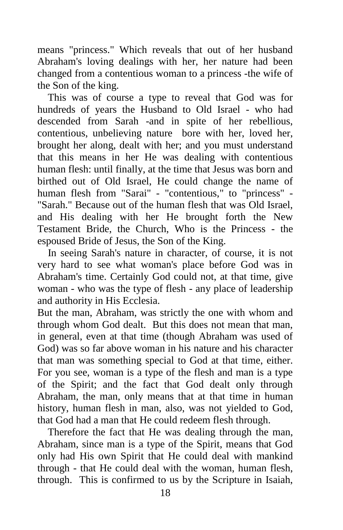means "princess." Which reveals that out of her husband Abraham's loving dealings with her, her nature had been changed from a contentious woman to a princess -the wife of the Son of the king.

 This was of course a type to reveal that God was for hundreds of years the Husband to Old Israel - who had descended from Sarah -and in spite of her rebellious, contentious, unbelieving nature bore with her, loved her, brought her along, dealt with her; and you must understand that this means in her He was dealing with contentious human flesh: until finally, at the time that Jesus was born and birthed out of Old Israel, He could change the name of human flesh from "Sarai" - "contentious," to "princess" - "Sarah." Because out of the human flesh that was Old Israel, and His dealing with her He brought forth the New Testament Bride, the Church, Who is the Princess - the espoused Bride of Jesus, the Son of the King.

 In seeing Sarah's nature in character, of course, it is not very hard to see what woman's place before God was in Abraham's time. Certainly God could not, at that time, give woman - who was the type of flesh - any place of leadership and authority in His Ecclesia.

But the man, Abraham, was strictly the one with whom and through whom God dealt. But this does not mean that man, in general, even at that time (though Abraham was used of God) was so far above woman in his nature and his character that man was something special to God at that time, either. For you see, woman is a type of the flesh and man is a type of the Spirit; and the fact that God dealt only through Abraham, the man, only means that at that time in human history, human flesh in man, also, was not yielded to God, that God had a man that He could redeem flesh through.

 Therefore the fact that He was dealing through the man, Abraham, since man is a type of the Spirit, means that God only had His own Spirit that He could deal with mankind through - that He could deal with the woman, human flesh, through. This is confirmed to us by the Scripture in Isaiah,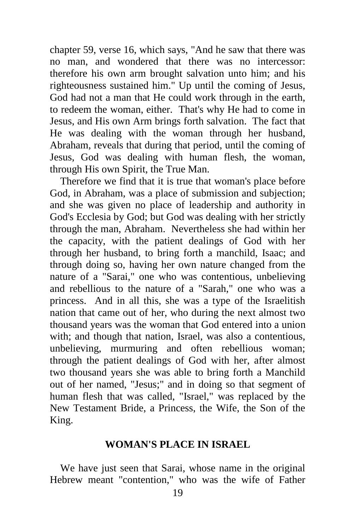chapter 59, verse 16, which says, "And he saw that there was no man, and wondered that there was no intercessor: therefore his own arm brought salvation unto him; and his righteousness sustained him." Up until the coming of Jesus, God had not a man that He could work through in the earth, to redeem the woman, either. That's why He had to come in Jesus, and His own Arm brings forth salvation. The fact that He was dealing with the woman through her husband, Abraham, reveals that during that period, until the coming of Jesus, God was dealing with human flesh, the woman, through His own Spirit, the True Man.

 Therefore we find that it is true that woman's place before God, in Abraham, was a place of submission and subjection; and she was given no place of leadership and authority in God's Ecclesia by God; but God was dealing with her strictly through the man, Abraham. Nevertheless she had within her the capacity, with the patient dealings of God with her through her husband, to bring forth a manchild, Isaac; and through doing so, having her own nature changed from the nature of a "Sarai," one who was contentious, unbelieving and rebellious to the nature of a "Sarah," one who was a princess. And in all this, she was a type of the Israelitish nation that came out of her, who during the next almost two thousand years was the woman that God entered into a union with; and though that nation, Israel, was also a contentious, unbelieving, murmuring and often rebellious woman; through the patient dealings of God with her, after almost two thousand years she was able to bring forth a Manchild out of her named, "Jesus;" and in doing so that segment of human flesh that was called, "Israel," was replaced by the New Testament Bride, a Princess, the Wife, the Son of the King.

#### **WOMAN'S PLACE IN ISRAEL**

 We have just seen that Sarai, whose name in the original Hebrew meant "contention," who was the wife of Father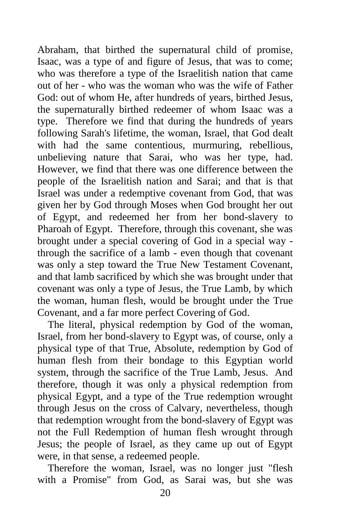Abraham, that birthed the supernatural child of promise, Isaac, was a type of and figure of Jesus, that was to come; who was therefore a type of the Israelitish nation that came out of her - who was the woman who was the wife of Father God: out of whom He, after hundreds of years, birthed Jesus, the supernaturally birthed redeemer of whom Isaac was a type. Therefore we find that during the hundreds of years following Sarah's lifetime, the woman, Israel, that God dealt with had the same contentious, murmuring, rebellious, unbelieving nature that Sarai, who was her type, had. However, we find that there was one difference between the people of the Israelitish nation and Sarai; and that is that Israel was under a redemptive covenant from God, that was given her by God through Moses when God brought her out of Egypt, and redeemed her from her bond-slavery to Pharoah of Egypt. Therefore, through this covenant, she was brought under a special covering of God in a special way through the sacrifice of a lamb - even though that covenant was only a step toward the True New Testament Covenant, and that lamb sacrificed by which she was brought under that covenant was only a type of Jesus, the True Lamb, by which the woman, human flesh, would be brought under the True Covenant, and a far more perfect Covering of God.

 The literal, physical redemption by God of the woman, Israel, from her bond-slavery to Egypt was, of course, only a physical type of that True, Absolute, redemption by God of human flesh from their bondage to this Egyptian world system, through the sacrifice of the True Lamb, Jesus. And therefore, though it was only a physical redemption from physical Egypt, and a type of the True redemption wrought through Jesus on the cross of Calvary, nevertheless, though that redemption wrought from the bond-slavery of Egypt was not the Full Redemption of human flesh wrought through Jesus; the people of Israel, as they came up out of Egypt were, in that sense, a redeemed people.

 Therefore the woman, Israel, was no longer just "flesh with a Promise" from God, as Sarai was, but she was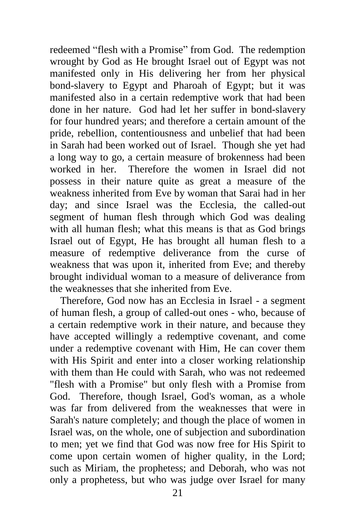redeemed "flesh with a Promise" from God. The redemption wrought by God as He brought Israel out of Egypt was not manifested only in His delivering her from her physical bond-slavery to Egypt and Pharoah of Egypt; but it was manifested also in a certain redemptive work that had been done in her nature. God had let her suffer in bond-slavery for four hundred years; and therefore a certain amount of the pride, rebellion, contentiousness and unbelief that had been in Sarah had been worked out of Israel. Though she yet had a long way to go, a certain measure of brokenness had been worked in her. Therefore the women in Israel did not possess in their nature quite as great a measure of the weakness inherited from Eve by woman that Sarai had in her day; and since Israel was the Ecclesia, the called-out segment of human flesh through which God was dealing with all human flesh; what this means is that as God brings Israel out of Egypt, He has brought all human flesh to a measure of redemptive deliverance from the curse of weakness that was upon it, inherited from Eve; and thereby brought individual woman to a measure of deliverance from the weaknesses that she inherited from Eve.

 Therefore, God now has an Ecclesia in Israel - a segment of human flesh, a group of called-out ones - who, because of a certain redemptive work in their nature, and because they have accepted willingly a redemptive covenant, and come under a redemptive covenant with Him, He can cover them with His Spirit and enter into a closer working relationship with them than He could with Sarah, who was not redeemed "flesh with a Promise" but only flesh with a Promise from God. Therefore, though Israel, God's woman, as a whole was far from delivered from the weaknesses that were in Sarah's nature completely; and though the place of women in Israel was, on the whole, one of subjection and subordination to men; yet we find that God was now free for His Spirit to come upon certain women of higher quality, in the Lord; such as Miriam, the prophetess; and Deborah, who was not only a prophetess, but who was judge over Israel for many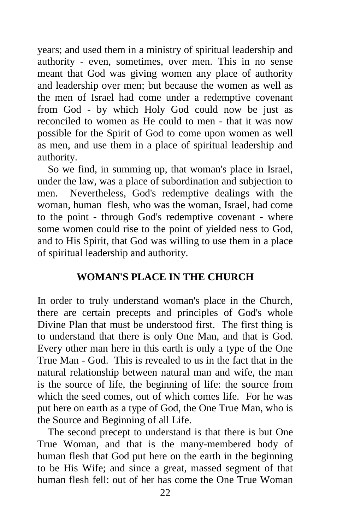years; and used them in a ministry of spiritual leadership and authority - even, sometimes, over men. This in no sense meant that God was giving women any place of authority and leadership over men; but because the women as well as the men of Israel had come under a redemptive covenant from God - by which Holy God could now be just as reconciled to women as He could to men - that it was now possible for the Spirit of God to come upon women as well as men, and use them in a place of spiritual leadership and authority.

 So we find, in summing up, that woman's place in Israel, under the law, was a place of subordination and subjection to men. Nevertheless, God's redemptive dealings with the woman, human flesh, who was the woman, Israel, had come to the point - through God's redemptive covenant - where some women could rise to the point of yielded ness to God, and to His Spirit, that God was willing to use them in a place of spiritual leadership and authority.

## **WOMAN'S PLACE IN THE CHURCH**

In order to truly understand woman's place in the Church, there are certain precepts and principles of God's whole Divine Plan that must be understood first. The first thing is to understand that there is only One Man, and that is God. Every other man here in this earth is only a type of the One True Man - God. This is revealed to us in the fact that in the natural relationship between natural man and wife, the man is the source of life, the beginning of life: the source from which the seed comes, out of which comes life. For he was put here on earth as a type of God, the One True Man, who is the Source and Beginning of all Life.

 The second precept to understand is that there is but One True Woman, and that is the many-membered body of human flesh that God put here on the earth in the beginning to be His Wife; and since a great, massed segment of that human flesh fell: out of her has come the One True Woman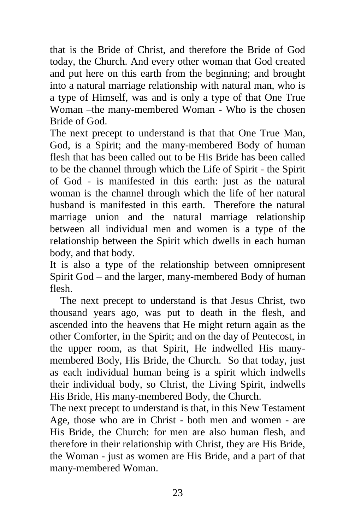that is the Bride of Christ, and therefore the Bride of God today, the Church. And every other woman that God created and put here on this earth from the beginning; and brought into a natural marriage relationship with natural man, who is a type of Himself, was and is only a type of that One True Woman –the many-membered Woman - Who is the chosen Bride of God.

The next precept to understand is that that One True Man, God, is a Spirit; and the many-membered Body of human flesh that has been called out to be His Bride has been called to be the channel through which the Life of Spirit - the Spirit of God - is manifested in this earth: just as the natural woman is the channel through which the life of her natural husband is manifested in this earth. Therefore the natural marriage union and the natural marriage relationship between all individual men and women is a type of the relationship between the Spirit which dwells in each human body, and that body.

It is also a type of the relationship between omnipresent Spirit God – and the larger, many-membered Body of human flesh.

 The next precept to understand is that Jesus Christ, two thousand years ago, was put to death in the flesh, and ascended into the heavens that He might return again as the other Comforter, in the Spirit; and on the day of Pentecost, in the upper room, as that Spirit, He indwelled His manymembered Body, His Bride, the Church. So that today, just as each individual human being is a spirit which indwells their individual body, so Christ, the Living Spirit, indwells His Bride, His many-membered Body, the Church.

The next precept to understand is that, in this New Testament Age, those who are in Christ - both men and women - are His Bride, the Church: for men are also human flesh, and therefore in their relationship with Christ, they are His Bride, the Woman - just as women are His Bride, and a part of that many-membered Woman.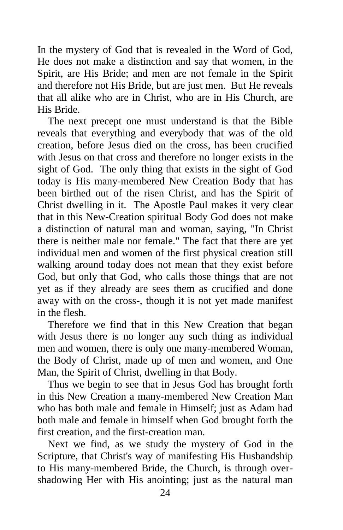In the mystery of God that is revealed in the Word of God, He does not make a distinction and say that women, in the Spirit, are His Bride; and men are not female in the Spirit and therefore not His Bride, but are just men. But He reveals that all alike who are in Christ, who are in His Church, are His Bride.

 The next precept one must understand is that the Bible reveals that everything and everybody that was of the old creation, before Jesus died on the cross, has been crucified with Jesus on that cross and therefore no longer exists in the sight of God. The only thing that exists in the sight of God today is His many-membered New Creation Body that has been birthed out of the risen Christ, and has the Spirit of Christ dwelling in it. The Apostle Paul makes it very clear that in this New-Creation spiritual Body God does not make a distinction of natural man and woman, saying, "In Christ there is neither male nor female." The fact that there are yet individual men and women of the first physical creation still walking around today does not mean that they exist before God, but only that God, who calls those things that are not yet as if they already are sees them as crucified and done away with on the cross-, though it is not yet made manifest in the flesh.

 Therefore we find that in this New Creation that began with Jesus there is no longer any such thing as individual men and women, there is only one many-membered Woman, the Body of Christ, made up of men and women, and One Man, the Spirit of Christ, dwelling in that Body.

 Thus we begin to see that in Jesus God has brought forth in this New Creation a many-membered New Creation Man who has both male and female in Himself; just as Adam had both male and female in himself when God brought forth the first creation, and the first-creation man.

 Next we find, as we study the mystery of God in the Scripture, that Christ's way of manifesting His Husbandship to His many-membered Bride, the Church, is through overshadowing Her with His anointing; just as the natural man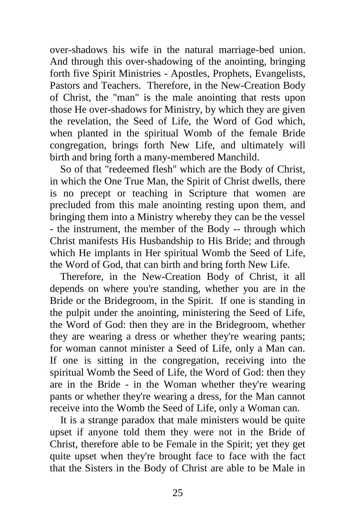over-shadows his wife in the natural marriage-bed union. And through this over-shadowing of the anointing, bringing forth five Spirit Ministries - Apostles, Prophets, Evangelists, Pastors and Teachers. Therefore, in the New-Creation Body of Christ, the "man" is the male anointing that rests upon those He over-shadows for Ministry, by which they are given the revelation, the Seed of Life, the Word of God which, when planted in the spiritual Womb of the female Bride congregation, brings forth New Life, and ultimately will birth and bring forth a many-membered Manchild.

 So of that "redeemed flesh" which are the Body of Christ, in which the One True Man, the Spirit of Christ dwells, there is no precept or teaching in Scripture that women are precluded from this male anointing resting upon them, and bringing them into a Ministry whereby they can be the vessel - the instrument, the member of the Body -- through which Christ manifests His Husbandship to His Bride; and through which He implants in Her spiritual Womb the Seed of Life, the Word of God, that can birth and bring forth New Life.

 Therefore, in the New-Creation Body of Christ, it all depends on where you're standing, whether you are in the Bride or the Bridegroom, in the Spirit. If one is standing in the pulpit under the anointing, ministering the Seed of Life, the Word of God: then they are in the Bridegroom, whether they are wearing a dress or whether they're wearing pants; for woman cannot minister a Seed of Life, only a Man can. If one is sitting in the congregation, receiving into the spiritual Womb the Seed of Life, the Word of God: then they are in the Bride - in the Woman whether they're wearing pants or whether they're wearing a dress, for the Man cannot receive into the Womb the Seed of Life, only a Woman can.

 It is a strange paradox that male ministers would be quite upset if anyone told them they were not in the Bride of Christ, therefore able to be Female in the Spirit; yet they get quite upset when they're brought face to face with the fact that the Sisters in the Body of Christ are able to be Male in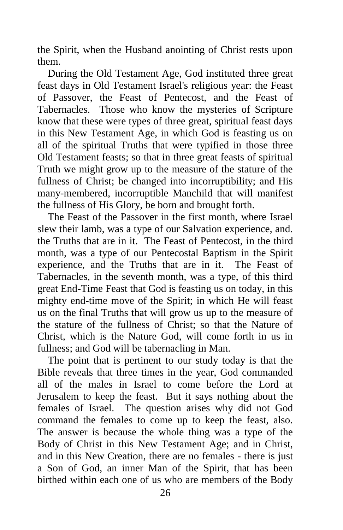the Spirit, when the Husband anointing of Christ rests upon them.

 During the Old Testament Age, God instituted three great feast days in Old Testament Israel's religious year: the Feast of Passover, the Feast of Pentecost, and the Feast of Tabernacles. Those who know the mysteries of Scripture know that these were types of three great, spiritual feast days in this New Testament Age, in which God is feasting us on all of the spiritual Truths that were typified in those three Old Testament feasts; so that in three great feasts of spiritual Truth we might grow up to the measure of the stature of the fullness of Christ; be changed into incorruptibility; and His many-membered, incorruptible Manchild that will manifest the fullness of His Glory, be born and brought forth.

 The Feast of the Passover in the first month, where Israel slew their lamb, was a type of our Salvation experience, and. the Truths that are in it. The Feast of Pentecost, in the third month, was a type of our Pentecostal Baptism in the Spirit experience, and the Truths that are in it. The Feast of Tabernacles, in the seventh month, was a type, of this third great End-Time Feast that God is feasting us on today, in this mighty end-time move of the Spirit; in which He will feast us on the final Truths that will grow us up to the measure of the stature of the fullness of Christ; so that the Nature of Christ, which is the Nature God, will come forth in us in fullness; and God will be tabernacling in Man.

 The point that is pertinent to our study today is that the Bible reveals that three times in the year, God commanded all of the males in Israel to come before the Lord at Jerusalem to keep the feast. But it says nothing about the females of Israel. The question arises why did not God command the females to come up to keep the feast, also. The answer is because the whole thing was a type of the Body of Christ in this New Testament Age; and in Christ, and in this New Creation, there are no females - there is just a Son of God, an inner Man of the Spirit, that has been birthed within each one of us who are members of the Body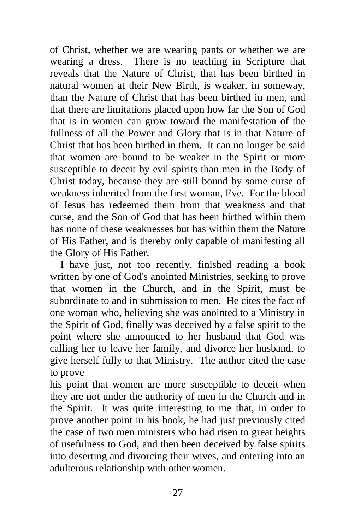of Christ, whether we are wearing pants or whether we are wearing a dress. There is no teaching in Scripture that reveals that the Nature of Christ, that has been birthed in natural women at their New Birth, is weaker, in someway, than the Nature of Christ that has been birthed in men, and that there are limitations placed upon how far the Son of God that is in women can grow toward the manifestation of the fullness of all the Power and Glory that is in that Nature of Christ that has been birthed in them. It can no longer be said that women are bound to be weaker in the Spirit or more susceptible to deceit by evil spirits than men in the Body of Christ today, because they are still bound by some curse of weakness inherited from the first woman, Eve. For the blood of Jesus has redeemed them from that weakness and that curse, and the Son of God that has been birthed within them has none of these weaknesses but has within them the Nature of His Father, and is thereby only capable of manifesting all the Glory of His Father.

 I have just, not too recently, finished reading a book written by one of God's anointed Ministries, seeking to prove that women in the Church, and in the Spirit, must be subordinate to and in submission to men. He cites the fact of one woman who, believing she was anointed to a Ministry in the Spirit of God, finally was deceived by a false spirit to the point where she announced to her husband that God was calling her to leave her family, and divorce her husband, to give herself fully to that Ministry. The author cited the case to prove

his point that women are more susceptible to deceit when they are not under the authority of men in the Church and in the Spirit. It was quite interesting to me that, in order to prove another point in his book, he had just previously cited the case of two men ministers who had risen to great heights of usefulness to God, and then been deceived by false spirits into deserting and divorcing their wives, and entering into an adulterous relationship with other women.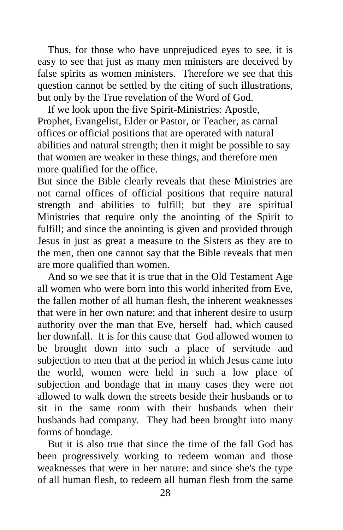Thus, for those who have unprejudiced eyes to see, it is easy to see that just as many men ministers are deceived by false spirits as women ministers. Therefore we see that this question cannot be settled by the citing of such illustrations, but only by the True revelation of the Word of God.

 If we look upon the five Spirit-Ministries: Apostle, Prophet, Evangelist, Elder or Pastor, or Teacher, as carnal offices or official positions that are operated with natural abilities and natural strength; then it might be possible to say that women are weaker in these things, and therefore men more qualified for the office.

But since the Bible clearly reveals that these Ministries are not carnal offices of official positions that require natural strength and abilities to fulfill; but they are spiritual Ministries that require only the anointing of the Spirit to fulfill; and since the anointing is given and provided through Jesus in just as great a measure to the Sisters as they are to the men, then one cannot say that the Bible reveals that men are more qualified than women.

 And so we see that it is true that in the Old Testament Age all women who were born into this world inherited from Eve, the fallen mother of all human flesh, the inherent weaknesses that were in her own nature; and that inherent desire to usurp authority over the man that Eve, herself had, which caused her downfall. It is for this cause that God allowed women to be brought down into such a place of servitude and subjection to men that at the period in which Jesus came into the world, women were held in such a low place of subjection and bondage that in many cases they were not allowed to walk down the streets beside their husbands or to sit in the same room with their husbands when their husbands had company. They had been brought into many forms of bondage.

 But it is also true that since the time of the fall God has been progressively working to redeem woman and those weaknesses that were in her nature: and since she's the type of all human flesh, to redeem all human flesh from the same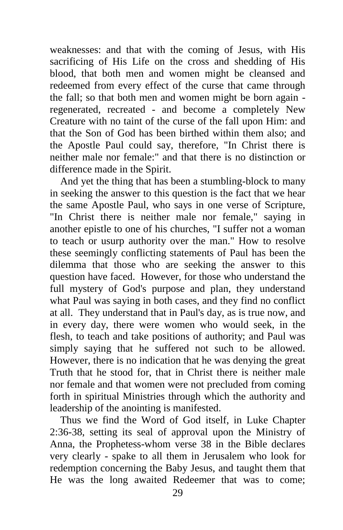weaknesses: and that with the coming of Jesus, with His sacrificing of His Life on the cross and shedding of His blood, that both men and women might be cleansed and redeemed from every effect of the curse that came through the fall; so that both men and women might be born again regenerated, recreated - and become a completely New Creature with no taint of the curse of the fall upon Him: and that the Son of God has been birthed within them also; and the Apostle Paul could say, therefore, "In Christ there is neither male nor female:" and that there is no distinction or difference made in the Spirit.

 And yet the thing that has been a stumbling-block to many in seeking the answer to this question is the fact that we hear the same Apostle Paul, who says in one verse of Scripture, "In Christ there is neither male nor female," saying in another epistle to one of his churches, "I suffer not a woman to teach or usurp authority over the man." How to resolve these seemingly conflicting statements of Paul has been the dilemma that those who are seeking the answer to this question have faced. However, for those who understand the full mystery of God's purpose and plan, they understand what Paul was saying in both cases, and they find no conflict at all. They understand that in Paul's day, as is true now, and in every day, there were women who would seek, in the flesh, to teach and take positions of authority; and Paul was simply saying that he suffered not such to be allowed. However, there is no indication that he was denying the great Truth that he stood for, that in Christ there is neither male nor female and that women were not precluded from coming forth in spiritual Ministries through which the authority and leadership of the anointing is manifested.

 Thus we find the Word of God itself, in Luke Chapter 2:36-38, setting its seal of approval upon the Ministry of Anna, the Prophetess-whom verse 38 in the Bible declares very clearly - spake to all them in Jerusalem who look for redemption concerning the Baby Jesus, and taught them that He was the long awaited Redeemer that was to come;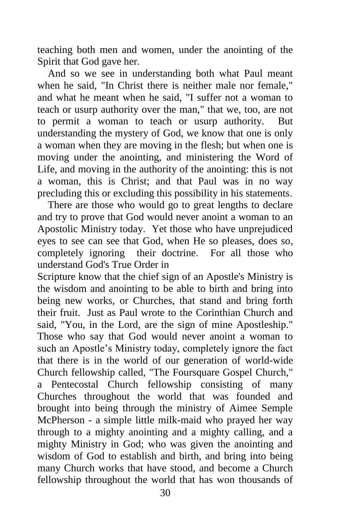teaching both men and women, under the anointing of the Spirit that God gave her.

 And so we see in understanding both what Paul meant when he said, "In Christ there is neither male nor female," and what he meant when he said, "I suffer not a woman to teach or usurp authority over the man," that we, too, are not to permit a woman to teach or usurp authority. But understanding the mystery of God, we know that one is only a woman when they are moving in the flesh; but when one is moving under the anointing, and ministering the Word of Life, and moving in the authority of the anointing: this is not a woman, this is Christ; and that Paul was in no way precluding this or excluding this possibility in his statements.

 There are those who would go to great lengths to declare and try to prove that God would never anoint a woman to an Apostolic Ministry today. Yet those who have unprejudiced eyes to see can see that God, when He so pleases, does so, completely ignoring their doctrine. For all those who understand God's True Order in

Scripture know that the chief sign of an Apostle's Ministry is the wisdom and anointing to be able to birth and bring into being new works, or Churches, that stand and bring forth their fruit. Just as Paul wrote to the Corinthian Church and said, "You, in the Lord, are the sign of mine Apostleship." Those who say that God would never anoint a woman to such an Apostle's Ministry today, completely ignore the fact that there is in the world of our generation of world-wide Church fellowship called, "The Foursquare Gospel Church," a Pentecostal Church fellowship consisting of many Churches throughout the world that was founded and brought into being through the ministry of Aimee Semple McPherson - a simple little milk-maid who prayed her way through to a mighty anointing and a mighty calling, and a mighty Ministry in God; who was given the anointing and wisdom of God to establish and birth, and bring into being many Church works that have stood, and become a Church fellowship throughout the world that has won thousands of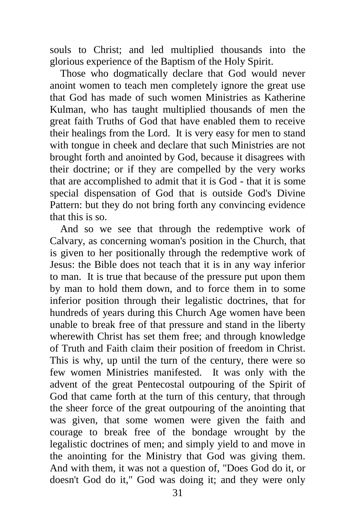souls to Christ; and led multiplied thousands into the glorious experience of the Baptism of the Holy Spirit.

 Those who dogmatically declare that God would never anoint women to teach men completely ignore the great use that God has made of such women Ministries as Katherine Kulman, who has taught multiplied thousands of men the great faith Truths of God that have enabled them to receive their healings from the Lord. It is very easy for men to stand with tongue in cheek and declare that such Ministries are not brought forth and anointed by God, because it disagrees with their doctrine; or if they are compelled by the very works that are accomplished to admit that it is God - that it is some special dispensation of God that is outside God's Divine Pattern: but they do not bring forth any convincing evidence that this is so.

 And so we see that through the redemptive work of Calvary, as concerning woman's position in the Church, that is given to her positionally through the redemptive work of Jesus: the Bible does not teach that it is in any way inferior to man. It is true that because of the pressure put upon them by man to hold them down, and to force them in to some inferior position through their legalistic doctrines, that for hundreds of years during this Church Age women have been unable to break free of that pressure and stand in the liberty wherewith Christ has set them free; and through knowledge of Truth and Faith claim their position of freedom in Christ. This is why, up until the turn of the century, there were so few women Ministries manifested. It was only with the advent of the great Pentecostal outpouring of the Spirit of God that came forth at the turn of this century, that through the sheer force of the great outpouring of the anointing that was given, that some women were given the faith and courage to break free of the bondage wrought by the legalistic doctrines of men; and simply yield to and move in the anointing for the Ministry that God was giving them. And with them, it was not a question of, "Does God do it, or doesn't God do it," God was doing it; and they were only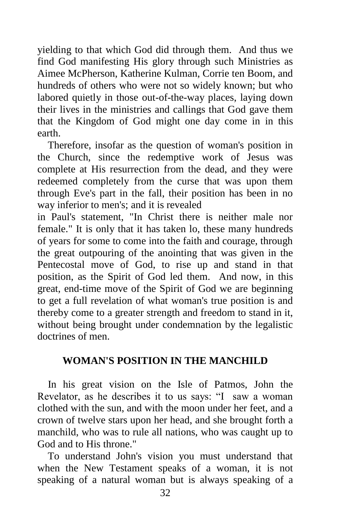yielding to that which God did through them. And thus we find God manifesting His glory through such Ministries as Aimee McPherson, Katherine Kulman, Corrie ten Boom, and hundreds of others who were not so widely known; but who labored quietly in those out-of-the-way places, laying down their lives in the ministries and callings that God gave them that the Kingdom of God might one day come in in this earth.

 Therefore, insofar as the question of woman's position in the Church, since the redemptive work of Jesus was complete at His resurrection from the dead, and they were redeemed completely from the curse that was upon them through Eve's part in the fall, their position has been in no way inferior to men's; and it is revealed

in Paul's statement, "In Christ there is neither male nor female." It is only that it has taken lo, these many hundreds of years for some to come into the faith and courage, through the great outpouring of the anointing that was given in the Pentecostal move of God, to rise up and stand in that position, as the Spirit of God led them. And now, in this great, end-time move of the Spirit of God we are beginning to get a full revelation of what woman's true position is and thereby come to a greater strength and freedom to stand in it, without being brought under condemnation by the legalistic doctrines of men.

## **WOMAN'S POSITION IN THE MANCHILD**

 In his great vision on the Isle of Patmos, John the Revelator, as he describes it to us says: "I saw a woman clothed with the sun, and with the moon under her feet, and a crown of twelve stars upon her head, and she brought forth a manchild, who was to rule all nations, who was caught up to God and to His throne."

 To understand John's vision you must understand that when the New Testament speaks of a woman, it is not speaking of a natural woman but is always speaking of a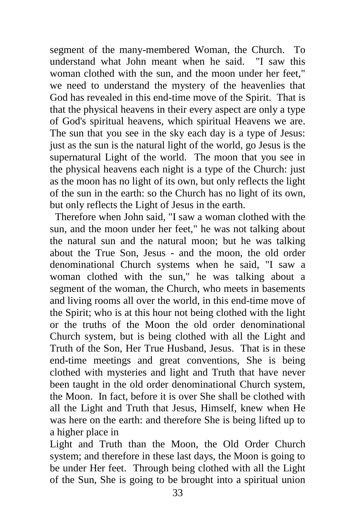segment of the many-membered Woman, the Church. To understand what John meant when he said. "I saw this woman clothed with the sun, and the moon under her feet," we need to understand the mystery of the heavenlies that God has revealed in this end-time move of the Spirit. That is that the physical heavens in their every aspect are only a type of God's spiritual heavens, which spiritual Heavens we are. The sun that you see in the sky each day is a type of Jesus: just as the sun is the natural light of the world, go Jesus is the supernatural Light of the world. The moon that you see in the physical heavens each night is a type of the Church: just as the moon has no light of its own, but only reflects the light of the sun in the earth: so the Church has no light of its own, but only reflects the Light of Jesus in the earth.

 Therefore when John said, "I saw a woman clothed with the sun, and the moon under her feet," he was not talking about the natural sun and the natural moon; but he was talking about the True Son, Jesus - and the moon, the old order denominational Church systems when he said, "I saw a woman clothed with the sun," he was talking about a segment of the woman, the Church, who meets in basements and living rooms all over the world, in this end-time move of the Spirit; who is at this hour not being clothed with the light or the truths of the Moon the old order denominational Church system, but is being clothed with all the Light and Truth of the Son, Her True Husband, Jesus. That is in these end-time meetings and great conventions, She is being clothed with mysteries and light and Truth that have never been taught in the old order denominational Church system, the Moon. In fact, before it is over She shall be clothed with all the Light and Truth that Jesus, Himself, knew when He was here on the earth: and therefore She is being lifted up to a higher place in

Light and Truth than the Moon, the Old Order Church system; and therefore in these last days, the Moon is going to be under Her feet. Through being clothed with all the Light of the Sun, She is going to be brought into a spiritual union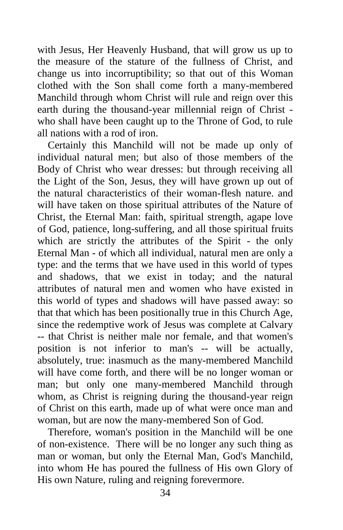with Jesus, Her Heavenly Husband, that will grow us up to the measure of the stature of the fullness of Christ, and change us into incorruptibility; so that out of this Woman clothed with the Son shall come forth a many-membered Manchild through whom Christ will rule and reign over this earth during the thousand-year millennial reign of Christ who shall have been caught up to the Throne of God, to rule all nations with a rod of iron.

 Certainly this Manchild will not be made up only of individual natural men; but also of those members of the Body of Christ who wear dresses: but through receiving all the Light of the Son, Jesus, they will have grown up out of the natural characteristics of their woman-flesh nature. and will have taken on those spiritual attributes of the Nature of Christ, the Eternal Man: faith, spiritual strength, agape love of God, patience, long-suffering, and all those spiritual fruits which are strictly the attributes of the Spirit - the only Eternal Man - of which all individual, natural men are only a type: and the terms that we have used in this world of types and shadows, that we exist in today; and the natural attributes of natural men and women who have existed in this world of types and shadows will have passed away: so that that which has been positionally true in this Church Age, since the redemptive work of Jesus was complete at Calvary -- that Christ is neither male nor female, and that women's position is not inferior to man's -- will be actually, absolutely, true: inasmuch as the many-membered Manchild will have come forth, and there will be no longer woman or man; but only one many-membered Manchild through whom, as Christ is reigning during the thousand-year reign of Christ on this earth, made up of what were once man and woman, but are now the many-membered Son of God.

 Therefore, woman's position in the Manchild will be one of non-existence. There will be no longer any such thing as man or woman, but only the Eternal Man, God's Manchild, into whom He has poured the fullness of His own Glory of His own Nature, ruling and reigning forevermore.